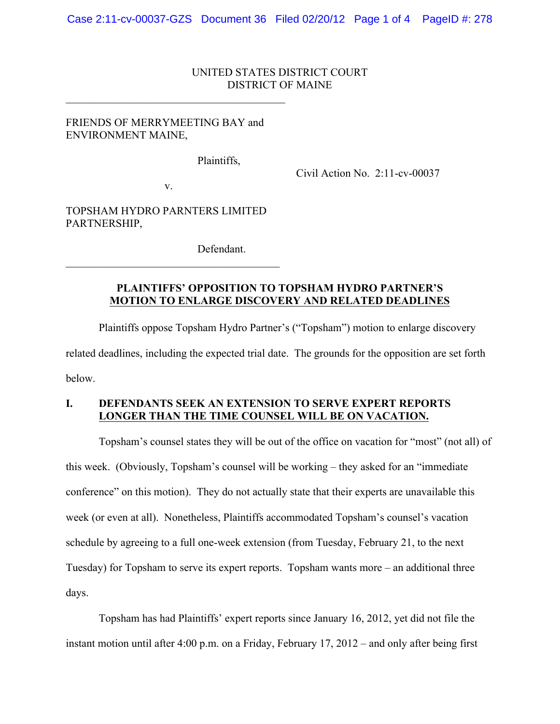### UNITED STATES DISTRICT COURT DISTRICT OF MAINE

# FRIENDS OF MERRYMEETING BAY and ENVIRONMENT MAINE,

 $\mathcal{L}_\text{max}$  , and the contract of the contract of the contract of the contract of the contract of the contract of the contract of the contract of the contract of the contract of the contract of the contract of the contr

Plaintiffs,

Civil Action No. 2:11-cv-00037

v.

TOPSHAM HYDRO PARNTERS LIMITED PARTNERSHIP,

 $\mathcal{L}_\text{max}$  and  $\mathcal{L}_\text{max}$  and  $\mathcal{L}_\text{max}$  and  $\mathcal{L}_\text{max}$ 

Defendant.

# **PLAINTIFFS' OPPOSITION TO TOPSHAM HYDRO PARTNER'S MOTION TO ENLARGE DISCOVERY AND RELATED DEADLINES**

Plaintiffs oppose Topsham Hydro Partner's ("Topsham") motion to enlarge discovery related deadlines, including the expected trial date. The grounds for the opposition are set forth below.

## **I. DEFENDANTS SEEK AN EXTENSION TO SERVE EXPERT REPORTS LONGER THAN THE TIME COUNSEL WILL BE ON VACATION.**

Topsham's counsel states they will be out of the office on vacation for "most" (not all) of this week. (Obviously, Topsham's counsel will be working – they asked for an "immediate conference" on this motion). They do not actually state that their experts are unavailable this week (or even at all). Nonetheless, Plaintiffs accommodated Topsham's counsel's vacation schedule by agreeing to a full one-week extension (from Tuesday, February 21, to the next Tuesday) for Topsham to serve its expert reports. Topsham wants more – an additional three days.

Topsham has had Plaintiffs' expert reports since January 16, 2012, yet did not file the instant motion until after 4:00 p.m. on a Friday, February 17, 2012 – and only after being first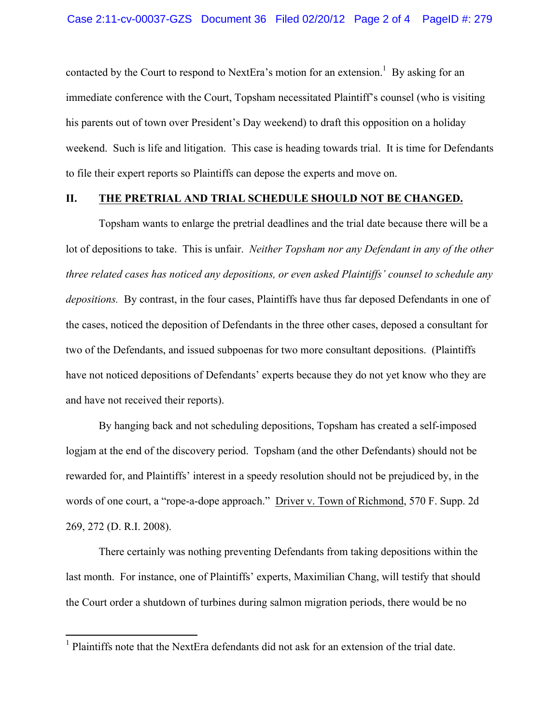contacted by the Court to respond to NextEra's motion for an extension.<sup>1</sup> By asking for an immediate conference with the Court, Topsham necessitated Plaintiff's counsel (who is visiting his parents out of town over President's Day weekend) to draft this opposition on a holiday weekend. Such is life and litigation. This case is heading towards trial. It is time for Defendants to file their expert reports so Plaintiffs can depose the experts and move on.

### **II. THE PRETRIAL AND TRIAL SCHEDULE SHOULD NOT BE CHANGED.**

Topsham wants to enlarge the pretrial deadlines and the trial date because there will be a lot of depositions to take. This is unfair. *Neither Topsham nor any Defendant in any of the other three related cases has noticed any depositions, or even asked Plaintiffs' counsel to schedule any depositions.* By contrast, in the four cases, Plaintiffs have thus far deposed Defendants in one of the cases, noticed the deposition of Defendants in the three other cases, deposed a consultant for two of the Defendants, and issued subpoenas for two more consultant depositions. (Plaintiffs have not noticed depositions of Defendants' experts because they do not yet know who they are and have not received their reports).

By hanging back and not scheduling depositions, Topsham has created a self-imposed logjam at the end of the discovery period. Topsham (and the other Defendants) should not be rewarded for, and Plaintiffs' interest in a speedy resolution should not be prejudiced by, in the words of one court, a "rope-a-dope approach." Driver v. Town of Richmond, 570 F. Supp. 2d 269, 272 (D. R.I. 2008).

There certainly was nothing preventing Defendants from taking depositions within the last month. For instance, one of Plaintiffs' experts, Maximilian Chang, will testify that should the Court order a shutdown of turbines during salmon migration periods, there would be no

 $<sup>1</sup>$  Plaintiffs note that the NextEra defendants did not ask for an extension of the trial date.</sup>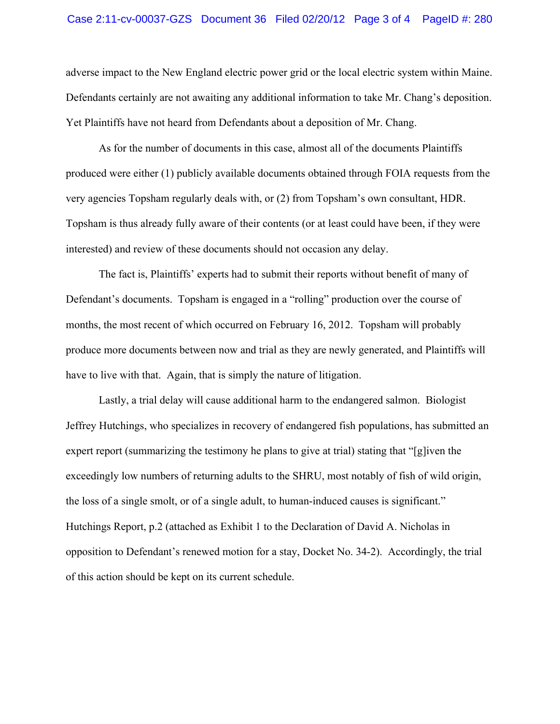adverse impact to the New England electric power grid or the local electric system within Maine. Defendants certainly are not awaiting any additional information to take Mr. Chang's deposition. Yet Plaintiffs have not heard from Defendants about a deposition of Mr. Chang.

As for the number of documents in this case, almost all of the documents Plaintiffs produced were either (1) publicly available documents obtained through FOIA requests from the very agencies Topsham regularly deals with, or (2) from Topsham's own consultant, HDR. Topsham is thus already fully aware of their contents (or at least could have been, if they were interested) and review of these documents should not occasion any delay.

The fact is, Plaintiffs' experts had to submit their reports without benefit of many of Defendant's documents. Topsham is engaged in a "rolling" production over the course of months, the most recent of which occurred on February 16, 2012. Topsham will probably produce more documents between now and trial as they are newly generated, and Plaintiffs will have to live with that. Again, that is simply the nature of litigation.

Lastly, a trial delay will cause additional harm to the endangered salmon. Biologist Jeffrey Hutchings, who specializes in recovery of endangered fish populations, has submitted an expert report (summarizing the testimony he plans to give at trial) stating that "[g]iven the exceedingly low numbers of returning adults to the SHRU, most notably of fish of wild origin, the loss of a single smolt, or of a single adult, to human-induced causes is significant." Hutchings Report, p.2 (attached as Exhibit 1 to the Declaration of David A. Nicholas in opposition to Defendant's renewed motion for a stay, Docket No. 34-2). Accordingly, the trial of this action should be kept on its current schedule.